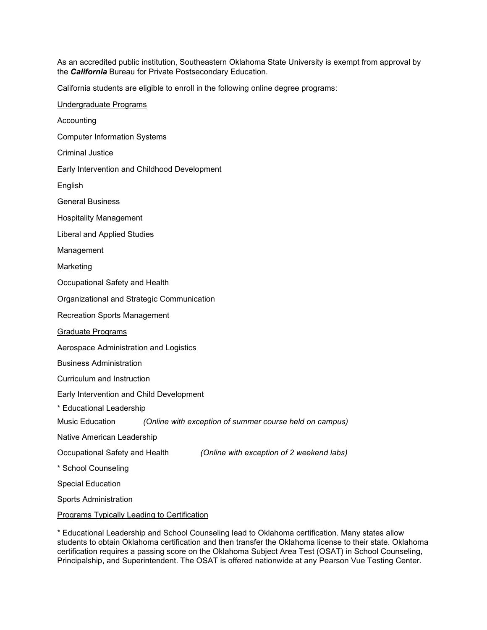As an accredited public institution, Southeastern Oklahoma State University is exempt from approval by the *California* Bureau for Private Postsecondary Education.

California students are eligible to enroll in the following online degree programs:

| Undergraduate Programs                                                      |
|-----------------------------------------------------------------------------|
| Accounting                                                                  |
| <b>Computer Information Systems</b>                                         |
| <b>Criminal Justice</b>                                                     |
| Early Intervention and Childhood Development                                |
| English                                                                     |
| <b>General Business</b>                                                     |
| <b>Hospitality Management</b>                                               |
| <b>Liberal and Applied Studies</b>                                          |
| Management                                                                  |
| Marketing                                                                   |
| Occupational Safety and Health                                              |
| Organizational and Strategic Communication                                  |
| <b>Recreation Sports Management</b>                                         |
| Graduate Programs                                                           |
| Aerospace Administration and Logistics                                      |
| <b>Business Administration</b>                                              |
| Curriculum and Instruction                                                  |
| Early Intervention and Child Development                                    |
| * Educational Leadership                                                    |
| Music Education<br>(Online with exception of summer course held on campus)  |
| Native American Leadership                                                  |
| Occupational Safety and Health<br>(Online with exception of 2 weekend labs) |
| * School Counseling                                                         |
| <b>Special Education</b>                                                    |
| <b>Sports Administration</b>                                                |
| Programs Typically Leading to Certification                                 |

\* Educational Leadership and School Counseling lead to Oklahoma certification. Many states allow students to obtain Oklahoma certification and then transfer the Oklahoma license to their state. Oklahoma certification requires a passing score on the Oklahoma Subject Area Test (OSAT) in School Counseling, Principalship, and Superintendent. The OSAT is offered nationwide at any Pearson Vue Testing Center.